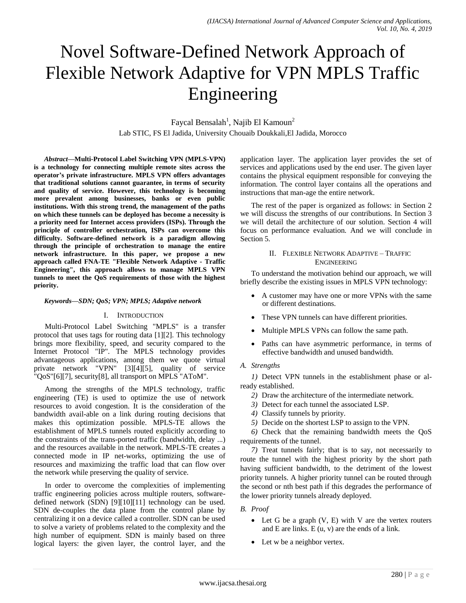# Novel Software-Defined Network Approach of Flexible Network Adaptive for VPN MPLS Traffic Engineering

Faycal Bensalah<sup>1</sup>, Najib El Kamoun<sup>2</sup> Lab STIC, FS El Jadida, University Chouaib Doukkali,El Jadida, Morocco

*Abstract***—Multi-Protocol Label Switching VPN (MPLS-VPN) is a technology for connecting multiple remote sites across the operator's private infrastructure. MPLS VPN offers advantages that traditional solutions cannot guarantee, in terms of security and quality of service. However, this technology is becoming more prevalent among businesses, banks or even public institutions. With this strong trend, the management of the paths on which these tunnels can be deployed has become a necessity is a priority need for Internet access providers (ISPs). Through the principle of controller orchestration, ISPs can overcome this difficulty. Software-defined network is a paradigm allowing through the principle of orchestration to manage the entire network infrastructure. In this paper, we propose a new approach called FNA-TE "Flexible Network Adaptive - Traffic Engineering", this approach allows to manage MPLS VPN tunnels to meet the QoS requirements of those with the highest priority.**

#### *Keywords—SDN; QoS; VPN; MPLS; Adaptive network*

#### I. INTRODUCTION

Multi-Protocol Label Switching "MPLS" is a transfer protocol that uses tags for routing data [1][2]. This technology brings more flexibility, speed, and security compared to the Internet Protocol "IP". The MPLS technology provides advantageous applications, among them we quote virtual private network "VPN" [3][4][5], quality of service "QoS"[6][7], security[8], all transport on MPLS "AToM".

Among the strengths of the MPLS technology, traffic engineering (TE) is used to optimize the use of network resources to avoid congestion. It is the consideration of the bandwidth avail-able on a link during routing decisions that makes this optimization possible. MPLS-TE allows the establishment of MPLS tunnels routed explicitly according to the constraints of the trans-ported traffic (bandwidth, delay ...) and the resources available in the network. MPLS-TE creates a connected mode in IP net-works, optimizing the use of resources and maximizing the traffic load that can flow over the network while preserving the quality of service.

In order to overcome the complexities of implementing traffic engineering policies across multiple routers, softwaredefined network (SDN) [9][10][11] technology can be used. SDN de-couples the data plane from the control plane by centralizing it on a device called a controller. SDN can be used to solve a variety of problems related to the complexity and the high number of equipment. SDN is mainly based on three logical layers: the given layer, the control layer, and the application layer. The application layer provides the set of services and applications used by the end user. The given layer contains the physical equipment responsible for conveying the information. The control layer contains all the operations and instructions that man-age the entire network.

The rest of the paper is organized as follows: in Section 2 we will discuss the strengths of our contributions. In Section 3 we will detail the architecture of our solution. Section 4 will focus on performance evaluation. And we will conclude in Section 5.

## II. FLEXIBLE NETWORK ADAPTIVE – TRAFFIC ENGINEERING

To understand the motivation behind our approach, we will briefly describe the existing issues in MPLS VPN technology:

- A customer may have one or more VPNs with the same or different destinations.
- These VPN tunnels can have different priorities.
- Multiple MPLS VPNs can follow the same path.
- Paths can have asymmetric performance, in terms of effective bandwidth and unused bandwidth.

#### *A. Strengths*

*1)* Detect VPN tunnels in the establishment phase or already established.

- *2)* Draw the architecture of the intermediate network.
- *3)* Detect for each tunnel the associated LSP.
- *4)* Classify tunnels by priority.
- *5)* Decide on the shortest LSP to assign to the VPN.

*6)* Check that the remaining bandwidth meets the QoS requirements of the tunnel.

*7)* Treat tunnels fairly; that is to say, not necessarily to route the tunnel with the highest priority by the short path having sufficient bandwidth, to the detriment of the lowest priority tunnels. A higher priority tunnel can be routed through the second or nth best path if this degrades the performance of the lower priority tunnels already deployed.

## *B. Proof*

- Let G be a graph  $(V, E)$  with V are the vertex routers and E are links. E (u, v) are the ends of a link.
- Let w be a neighbor vertex.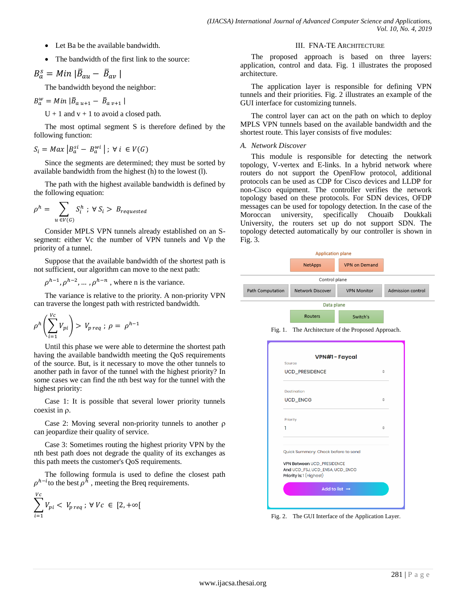- Let Ba be the available bandwidth.
- The bandwidth of the first link to the source:

$$
B_a^s = Min \, |\bar{B}_{au} - \bar{B}_{av}|
$$

The bandwidth beyond the neighbor:

$$
B_{a}^{w} = Min \, |\bar{B}_{a u+1} - \bar{B}_{a v+1}|
$$

 $U + 1$  and  $v + 1$  to avoid a closed path.

The most optimal segment S is therefore defined by the following function:

$$
S_i = Max \left| B_a^{si} - B_a^{wi} \right|; \forall i \in V(G)
$$

Since the segments are determined; they must be sorted by available bandwidth from the highest (h) to the lowest (l).

The path with the highest available bandwidth is defined by the following equation:

$$
\rho^h = \sum_{u \in V(G)} S_i^h \; ; \; \forall \; S_i > B_{requested}
$$

Consider MPLS VPN tunnels already established on an Ssegment: either Vc the number of VPN tunnels and Vp the priority of a tunnel.

Suppose that the available bandwidth of the shortest path is not sufficient, our algorithm can move to the next path:

 $\rho^{h-1}, \rho^{h-2}, \dots, \rho^{h-n}$ , where n is the variance.

The variance is relative to the priority. A non-priority VPN can traverse the longest path with restricted bandwidth.

$$
\rho^h\left(\sum_{i=1}^{Vc}V_{pi}\right) > V_{p \,req} \, ; \, \rho = \rho^{h-1}
$$

Until this phase we were able to determine the shortest path having the available bandwidth meeting the QoS requirements of the source. But, is it necessary to move the other tunnels to another path in favor of the tunnel with the highest priority? In some cases we can find the nth best way for the tunnel with the highest priority:

Case 1: It is possible that several lower priority tunnels coexist in  $\rho$ .

Case 2: Moving several non-priority tunnels to another  $\rho$ can jeopardize their quality of service.

Case 3: Sometimes routing the highest priority VPN by the nth best path does not degrade the quality of its exchanges as this path meets the customer's QoS requirements.

The following formula is used to define the closest path  $\rho^{h-i}$  to the best  $\rho^h$ , meeting the Breq requirements.

$$
\sum_{i=1}^{Vc} V_{pi} < V_{preq} \ \forall \ Vc \ \in \ [2, +\infty[
$$

#### III. FNA-TE ARCHITECTURE

The proposed approach is based on three layers: application, control and data. Fig. 1 illustrates the proposed architecture.

The application layer is responsible for defining VPN tunnels and their priorities. Fig. 2 illustrates an example of the GUI interface for customizing tunnels.

The control layer can act on the path on which to deploy MPLS VPN tunnels based on the available bandwidth and the shortest route. This layer consists of five modules:

#### *A. Network Discover*

This module is responsible for detecting the network topology, V-vertex and E-links. In a hybrid network where routers do not support the OpenFlow protocol, additional protocols can be used as CDP for Cisco devices and LLDP for non-Cisco equipment. The controller verifies the network topology based on these protocols. For SDN devices, OFDP messages can be used for topology detection. In the case of the Moroccan university, specifically Chouaïb Doukkali University, the routers set up do not support SDN. The topology detected automatically by our controller is shown in Fig. 3.



Fig. 1. The Architecture of the Proposed Approach.

| Source                                                                                           |              |
|--------------------------------------------------------------------------------------------------|--------------|
| <b>UCD_PRESIDENCE</b>                                                                            | ≐            |
| Destination                                                                                      |              |
| <b>UCD_ENCG</b>                                                                                  | $\triangleq$ |
| Priority                                                                                         |              |
| 1                                                                                                | ÷            |
| Quick Summary: Check before to send                                                              |              |
| <b>VPN Between UCD_PRESIDENCE</b><br>And UCD_FSJ, UCD_ENSA, UCD_ENCG<br>Priority is: 1 (Highest) |              |
| Add to list $\rightarrow$                                                                        |              |

Fig. 2. The GUI Interface of the Application Layer.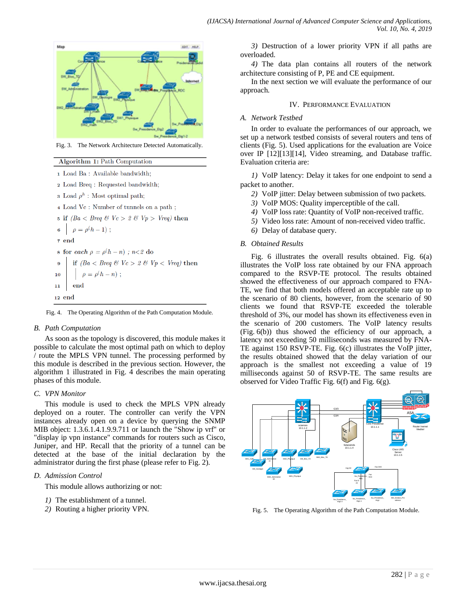

Fig. 3. The Network Architecture Detected Automatically.

Algorithm 1: Path Computation

- 1 Load Ba: Available bandwidth;
- 2 Load Breq: Requested bandwidth;
- 3 Load  $\rho^h$ : Most optimal path;
- 4 Load Vc : Number of tunnels on a path ;
- 5 if  $(Ba < Breq \& Ve > 2 \& Vp > Vreq)$  then

$$
6 \mid \rho = \rho(h-1) ;
$$

- 7 end
- s for each  $\rho = \rho(h n)$ ; n<2 do

12 end

Fig. 4. The Operating Algorithm of the Path Computation Module.

## *B. Path Computation*

As soon as the topology is discovered, this module makes it possible to calculate the most optimal path on which to deploy / route the MPLS VPN tunnel. The processing performed by this module is described in the previous section. However, the algorithm 1 illustrated in Fig. 4 describes the main operating phases of this module.

## *C. VPN Monitor*

This module is used to check the MPLS VPN already deployed on a router. The controller can verify the VPN instances already open on a device by querying the SNMP MIB object: 1.3.6.1.4.1.9.9.711 or launch the "Show ip vrf" or "display ip vpn instance" commands for routers such as Cisco, Juniper, and HP. Recall that the priority of a tunnel can be detected at the base of the initial declaration by the administrator during the first phase (please refer to Fig. 2).

## *D. Admission Control*

This module allows authorizing or not:

- *1)* The establishment of a tunnel.
- *2)* Routing a higher priority VPN.

*3)* Destruction of a lower priority VPN if all paths are overloaded.

*4)* The data plan contains all routers of the network architecture consisting of P, PE and CE equipment.

In the next section we will evaluate the performance of our approach.

## IV. PERFORMANCE EVALUATION

## *A. Network Testbed*

In order to evaluate the performances of our approach, we set up a network testbed consists of several routers and tens of clients (Fig. 5). Used applications for the evaluation are Voice over IP [12][13][14], Video streaming, and Database traffic. Evaluation criteria are:

*1)* VoIP latency: Delay it takes for one endpoint to send a packet to another.

- *2)* VoIP jitter: Delay between submission of two packets.
- *3)* VoIP MOS: Quality imperceptible of the call.
- *4)* VoIP loss rate: Quantity of VoIP non-received traffic.
- *5)* Video loss rate: Amount of non-received video traffic.
- *6)* Delay of database query.

## *B. Obtained Results*

Fig. 6 illustrates the overall results obtained. Fig. 6(a) illustrates the VoIP loss rate obtained by our FNA approach compared to the RSVP-TE protocol. The results obtained showed the effectiveness of our approach compared to FNA-TE, we find that both models offered an acceptable rate up to the scenario of 80 clients, however, from the scenario of 90 clients we found that RSVP-TE exceeded the tolerable threshold of 3%, our model has shown its effectiveness even in the scenario of 200 customers. The VoIP latency results (Fig. 6(b)) thus showed the efficiency of our approach, a latency not exceeding 50 milliseconds was measured by FNA-TE against 150 RSVP-TE. Fig. 6(c) illustrates the VoIP jitter, the results obtained showed that the delay variation of our approach is the smallest not exceeding a value of 19 milliseconds against 50 of RSVP-TE. The same results are observed for Video Traffic Fig. 6(f) and Fig. 6(g).



Fig. 5. The Operating Algorithm of the Path Computation Module.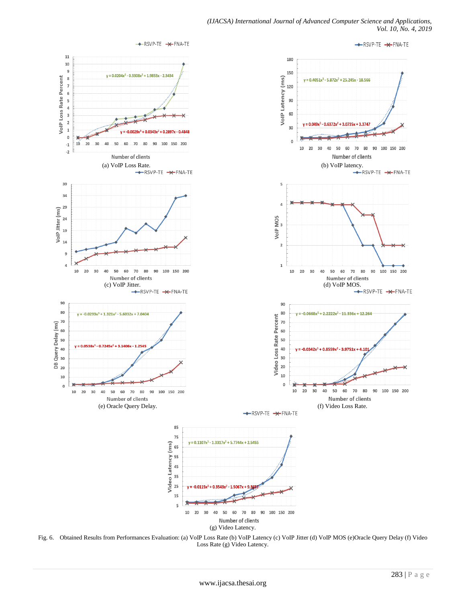

Fig. 6. Obtained Results from Performances Evaluation: (a) VoIP Loss Rate (b) VoIP Latency (c) VoIP Jitter (d) VoIP MOS (e)Oracle Query Delay (f) Video Loss Rate (g) Video Latency.